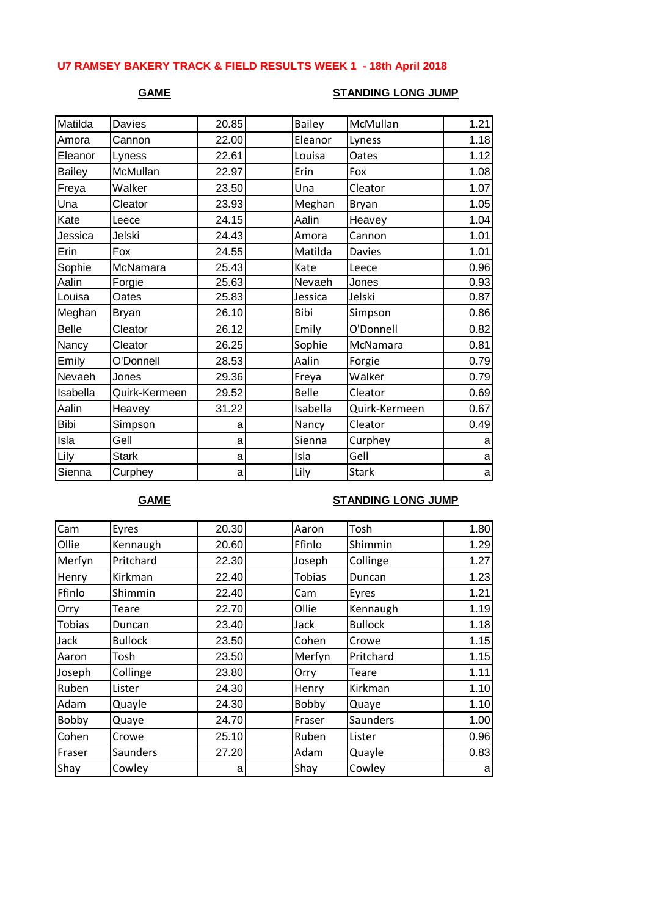### **U7 RAMSEY BAKERY TRACK & FIELD RESULTS WEEK 1 - 18th April 2018**

### **GAME STANDING LONG JUMP**

| Matilda       | Davies        | 20.85 | <b>Bailey</b> | McMullan      | 1.21 |
|---------------|---------------|-------|---------------|---------------|------|
| Amora         | Cannon        | 22.00 | Eleanor       | Lyness        | 1.18 |
| Eleanor       | Lyness        | 22.61 | Louisa        | Oates         | 1.12 |
| <b>Bailey</b> | McMullan      | 22.97 | Erin          | Fox           | 1.08 |
| Freya         | Walker        | 23.50 | Una           | Cleator       | 1.07 |
| Una           | Cleator       | 23.93 | Meghan        | Bryan         | 1.05 |
| Kate          | Leece         | 24.15 | Aalin         | Heavey        | 1.04 |
| Jessica       | Jelski        | 24.43 | Amora         | Cannon        | 1.01 |
| Erin          | Fox           | 24.55 | Matilda       | <b>Davies</b> | 1.01 |
| Sophie        | McNamara      | 25.43 | Kate          | Leece         | 0.96 |
| Aalin         | Forgie        | 25.63 | Nevaeh        | Jones         | 0.93 |
| Louisa        | Oates         | 25.83 | Jessica       | Jelski        | 0.87 |
| Meghan        | <b>Bryan</b>  | 26.10 | Bibi          | Simpson       | 0.86 |
| <b>Belle</b>  | Cleator       | 26.12 | Emily         | O'Donnell     | 0.82 |
| Nancy         | Cleator       | 26.25 | Sophie        | McNamara      | 0.81 |
| Emily         | O'Donnell     | 28.53 | Aalin         | Forgie        | 0.79 |
| Nevaeh        | Jones         | 29.36 | Freya         | Walker        | 0.79 |
| Isabella      | Quirk-Kermeen | 29.52 | <b>Belle</b>  | Cleator       | 0.69 |
| Aalin         | Heavey        | 31.22 | Isabella      | Quirk-Kermeen | 0.67 |
| <b>Bibi</b>   | Simpson       | a     | Nancy         | Cleator       | 0.49 |
| Isla          | Gell          | a     | Sienna        | Curphey       | a    |
| Lily          | <b>Stark</b>  | a     | Isla          | Gell          | a    |
| Sienna        | Curphey       | al    | Lily          | <b>Stark</b>  | a    |

### **GAME STANDING LONG JUMP**

| Cam           | Eyres           | 20.30 | Aaron         | Tosh            | 1.80 |
|---------------|-----------------|-------|---------------|-----------------|------|
| Ollie         | Kennaugh        | 20.60 | Ffinlo        | Shimmin         | 1.29 |
| Merfyn        | Pritchard       | 22.30 | Joseph        | Collinge        | 1.27 |
| Henry         | Kirkman         | 22.40 | <b>Tobias</b> | Duncan          | 1.23 |
| Ffinlo        | Shimmin         | 22.40 | Cam           | Eyres           | 1.21 |
| Orry          | Teare           | 22.70 | Ollie         | Kennaugh        | 1.19 |
| <b>Tobias</b> | Duncan          | 23.40 | Jack          | <b>Bullock</b>  | 1.18 |
| Jack          | <b>Bullock</b>  | 23.50 | Cohen         | Crowe           | 1.15 |
| Aaron         | Tosh            | 23.50 | Merfyn        | Pritchard       | 1.15 |
| Joseph        | Collinge        | 23.80 | Orry          | Teare           | 1.11 |
| Ruben         | Lister          | 24.30 | Henry         | Kirkman         | 1.10 |
| Adam          | Quayle          | 24.30 | Bobby         | Quaye           | 1.10 |
| Bobby         | Quaye           | 24.70 | Fraser        | <b>Saunders</b> | 1.00 |
| Cohen         | Crowe           | 25.10 | Ruben         | Lister          | 0.96 |
| Fraser        | <b>Saunders</b> | 27.20 | Adam          | Quayle          | 0.83 |
| Shay          | Cowley          | a     | Shay          | Cowley          | a    |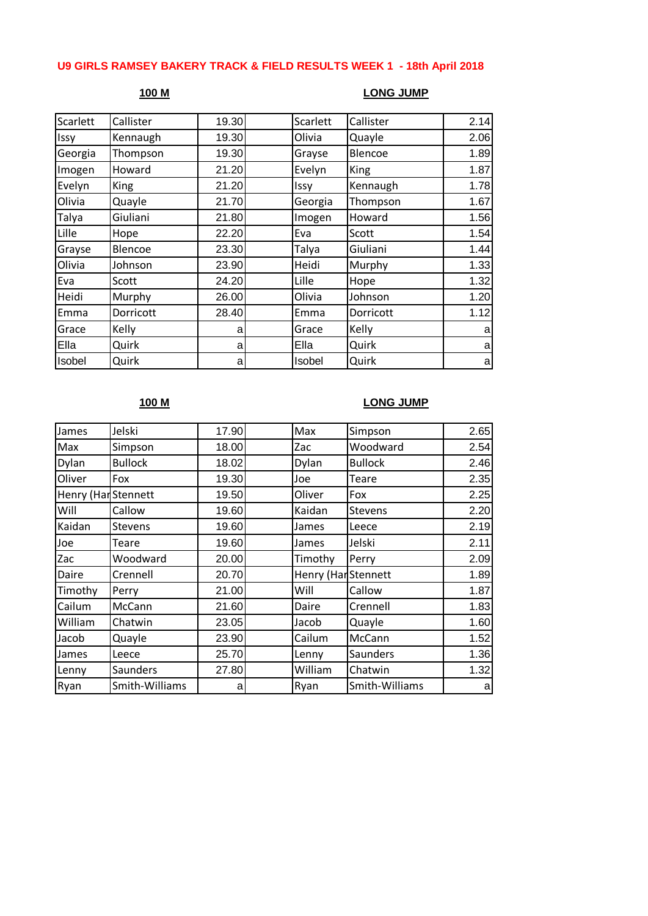## **U9 GIRLS RAMSEY BAKERY TRACK & FIELD RESULTS WEEK 1 - 18th April 2018**

### **100 M LONG JUMP**

| Callister |   | Scarlett                                                                                                                    | Callister   | 2.14 |
|-----------|---|-----------------------------------------------------------------------------------------------------------------------------|-------------|------|
| Kennaugh  |   | Olivia                                                                                                                      | Quayle      | 2.06 |
| Thompson  |   | Grayse                                                                                                                      | Blencoe     | 1.89 |
| Howard    |   | Evelyn                                                                                                                      | <b>King</b> | 1.87 |
| King      |   | Issy                                                                                                                        | Kennaugh    | 1.78 |
| Quayle    |   | Georgia                                                                                                                     | Thompson    | 1.67 |
| Giuliani  |   | Imogen                                                                                                                      | Howard      | 1.56 |
| Hope      |   | Eva                                                                                                                         | Scott       | 1.54 |
| Blencoe   |   | Talya                                                                                                                       | Giuliani    | 1.44 |
| Johnson   |   | Heidi                                                                                                                       | Murphy      | 1.33 |
| Scott     |   | Lille                                                                                                                       | Hope        | 1.32 |
| Murphy    |   | Olivia                                                                                                                      | Johnson     | 1.20 |
| Dorricott |   | Emma                                                                                                                        | Dorricott   | 1.12 |
| Kelly     | a | Grace                                                                                                                       | Kelly       | a    |
| Quirk     |   | Ella                                                                                                                        | Quirk       | a    |
| Quirk     |   | Isobel                                                                                                                      | Quirk       | a    |
|           |   | 19.30<br>19.30<br>19.30<br>21.20<br>21.20<br>21.70<br>21.80<br>22.20<br>23.30<br>23.90<br>24.20<br>26.00<br>28.40<br>a<br>a |             |      |

# **100 M LONG JUMP**

| James               | Jelski         | 17.90 | Max                 | Simpson        | 2.65 |
|---------------------|----------------|-------|---------------------|----------------|------|
| Max                 | Simpson        | 18.00 | Zac                 | Woodward       | 2.54 |
| Dylan               | <b>Bullock</b> | 18.02 | Dylan               | <b>Bullock</b> | 2.46 |
| Oliver              | Fox            | 19.30 | Joe                 | Teare          | 2.35 |
| Henry (Har Stennett |                | 19.50 | Oliver              | Fox            | 2.25 |
| Will                | Callow         | 19.60 | Kaidan              | <b>Stevens</b> | 2.20 |
| Kaidan              | <b>Stevens</b> | 19.60 | James               | Leece          | 2.19 |
| Joe                 | Teare          | 19.60 | James               | Jelski         | 2.11 |
| Zac                 | Woodward       | 20.00 | Timothy             | Perry          | 2.09 |
| Daire               | Crennell       | 20.70 | Henry (Har Stennett |                | 1.89 |
| Timothy             | Perry          | 21.00 | Will                | Callow         | 1.87 |
| Cailum              | McCann         | 21.60 | Daire               | Crennell       | 1.83 |
| William             | Chatwin        | 23.05 | Jacob               | Quayle         | 1.60 |
| Jacob               | Quayle         | 23.90 | Cailum              | McCann         | 1.52 |
| James               | Leece          | 25.70 | Lenny               | Saunders       | 1.36 |
| Lenny               | Saunders       | 27.80 | William             | Chatwin        | 1.32 |
| Ryan                | Smith-Williams | a     | Ryan                | Smith-Williams | a    |